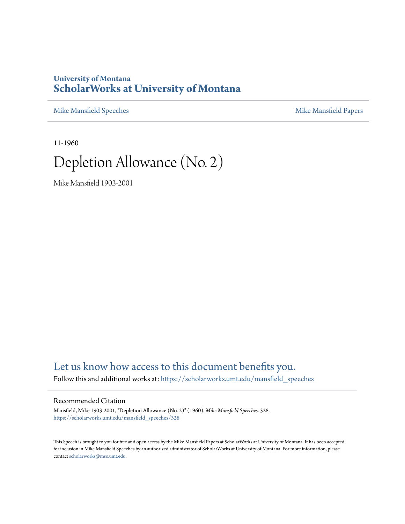### **University of Montana [ScholarWorks at University of Montana](https://scholarworks.umt.edu?utm_source=scholarworks.umt.edu%2Fmansfield_speeches%2F328&utm_medium=PDF&utm_campaign=PDFCoverPages)**

[Mike Mansfield Speeches](https://scholarworks.umt.edu/mansfield_speeches?utm_source=scholarworks.umt.edu%2Fmansfield_speeches%2F328&utm_medium=PDF&utm_campaign=PDFCoverPages) **[Mike Mansfield Papers](https://scholarworks.umt.edu/mike_mansfield_papers?utm_source=scholarworks.umt.edu%2Fmansfield_speeches%2F328&utm_medium=PDF&utm_campaign=PDFCoverPages)** Mike Mansfield Papers

11-1960

# Depletion Allowance (No. 2)

Mike Mansfield 1903-2001

## [Let us know how access to this document benefits you.](https://goo.gl/forms/s2rGfXOLzz71qgsB2)

Follow this and additional works at: [https://scholarworks.umt.edu/mansfield\\_speeches](https://scholarworks.umt.edu/mansfield_speeches?utm_source=scholarworks.umt.edu%2Fmansfield_speeches%2F328&utm_medium=PDF&utm_campaign=PDFCoverPages)

#### Recommended Citation

Mansfield, Mike 1903-2001, "Depletion Allowance (No. 2)" (1960). *Mike Mansfield Speeches*. 328. [https://scholarworks.umt.edu/mansfield\\_speeches/328](https://scholarworks.umt.edu/mansfield_speeches/328?utm_source=scholarworks.umt.edu%2Fmansfield_speeches%2F328&utm_medium=PDF&utm_campaign=PDFCoverPages)

This Speech is brought to you for free and open access by the Mike Mansfield Papers at ScholarWorks at University of Montana. It has been accepted for inclusion in Mike Mansfield Speeches by an authorized administrator of ScholarWorks at University of Montana. For more information, please contact [scholarworks@mso.umt.edu.](mailto:scholarworks@mso.umt.edu)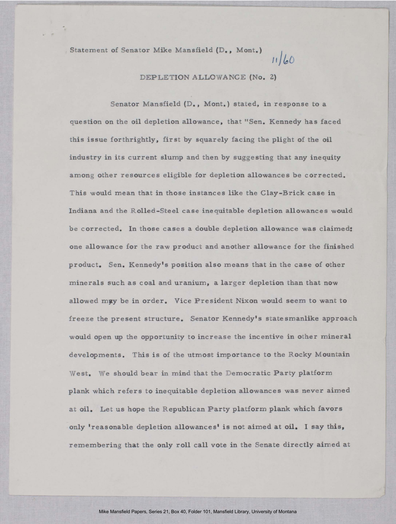Statement of Senator Mike Mansfield (D., Mont.)  $11/60$ 

#### DEPLETION ALLOWANCE (No. 2)

1

Senator Mansfield (D., Mont.) stated, in response to a question on the oil depletion allowance, that "Sen. Kennedy has faced this issue forthrightly, first by squarely facing the plight of the oil industry in its current slump and then by suggesting that any inequity among other resources eligible for depletion allowances be corrected. This would mean that in those instances like the Clay-Brick case in Indiana and the Rolled-Steel case inequitable depletion allowances would be corrected. In those cases a double depletion allowance was claimed: one allowance for the raw product and another allowance for the finished product. Sen. Kennedy's position also means that in the case of other minerals such as coal and uranium, a larger depletion than that now allowed may be in order. Vice President Nixon would seem to want to freeze the present structure. Senator Kennedy's statesmanlike approach would open up the opportunity to increase the incentive in other mineral developments. This is of the utmost importance to the Rocky Mountain West. We should bear in mind that the Democratic Party platform plank which refers to inequitable depletion allowances was never aimed at oil. Let us hope the Republican Party platform plank which favors only 'reasonable depletion allowances' is not aimed at oil. I say this, remembering that the only roll call vote in the Senate directly aimed at